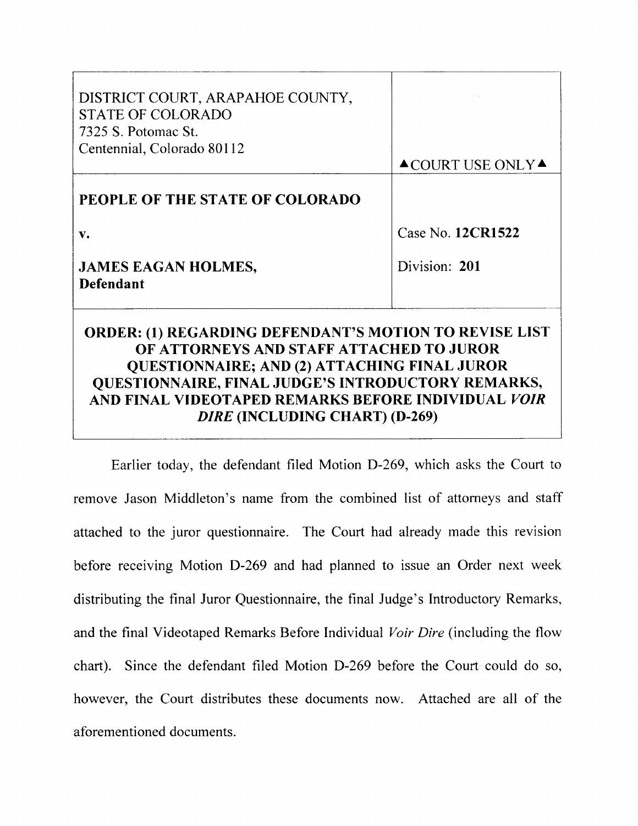| DISTRICT COURT, ARAPAHOE COUNTY,<br><b>STATE OF COLORADO</b><br>7325 S. Potomac St.<br>Centennial, Colorado 80112                                                                                                                                                                                                      | $\triangle$ COURT USE ONLY $\triangle$ |
|------------------------------------------------------------------------------------------------------------------------------------------------------------------------------------------------------------------------------------------------------------------------------------------------------------------------|----------------------------------------|
| PEOPLE OF THE STATE OF COLORADO                                                                                                                                                                                                                                                                                        |                                        |
| $\mathbf{v}$ .                                                                                                                                                                                                                                                                                                         | Case No. 12CR1522                      |
| <b>JAMES EAGAN HOLMES,</b><br><b>Defendant</b>                                                                                                                                                                                                                                                                         | Division: 201                          |
| ORDER: (1) REGARDING DEFENDANT'S MOTION TO REVISE LIST<br>OF ATTORNEYS AND STAFF ATTACHED TO JUROR<br><b>QUESTIONNAIRE; AND (2) ATTACHING FINAL JUROR</b><br>QUESTIONNAIRE, FINAL JUDGE'S INTRODUCTORY REMARKS,<br>AND FINAL VIDEOTAPED REMARKS BEFORE INDIVIDUAL <i>VOIR</i><br><i>DIRE</i> (INCLUDING CHART) (D-269) |                                        |

Earlier today, the defendant filed Motion D-269, which asks the Court to remove Jason Middleton's name from the combined list of attorneys and staff attached to the juror questionnaire. The Court had already made this revision before receiving Motion D-269 and had planned to issue an Order next week distributing the final Juror Questionnaire, the final Judge's Introductory Remarks, and the final Videotaped Remarks Before Individual Voir Dire (including the flow chart). Since the defendant filed Motion D-269 before the Court could do so, however, the Court distributes these documents now. Attached are all of the aforementioned documents.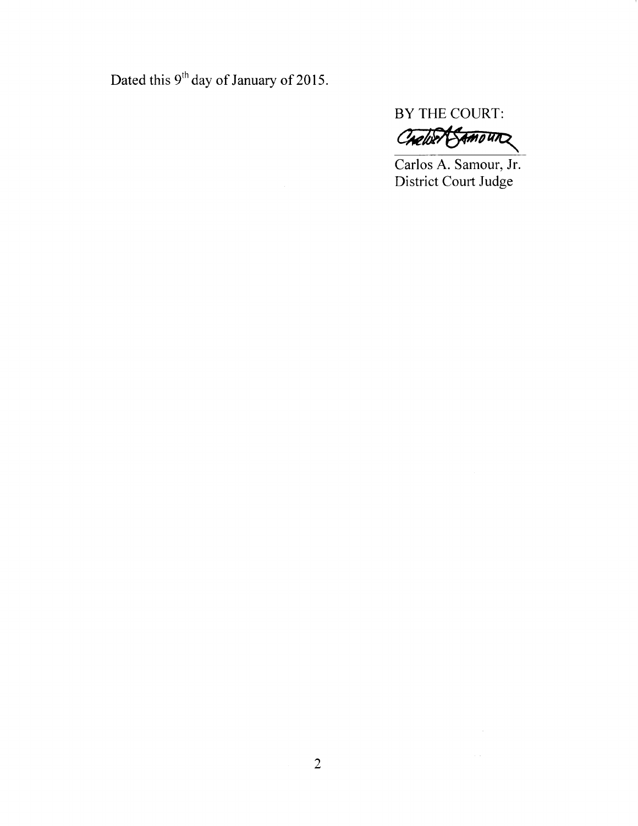Dated this  $9<sup>th</sup>$  day of January of 2015.

BY THE COURT:

Cheller Samoun

Carlos A. Samour, Jr. District Court Judge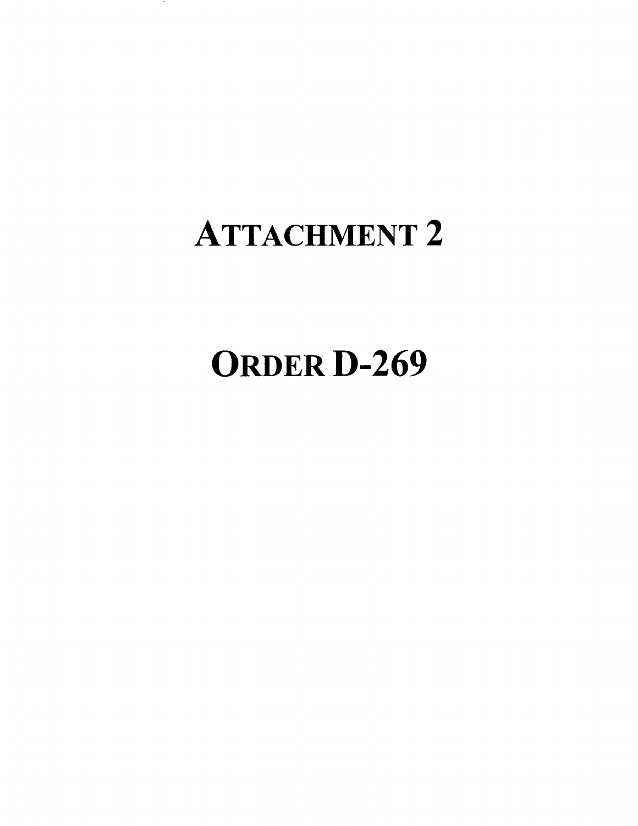### ATTACHMENT 2

# **ORDER D-269**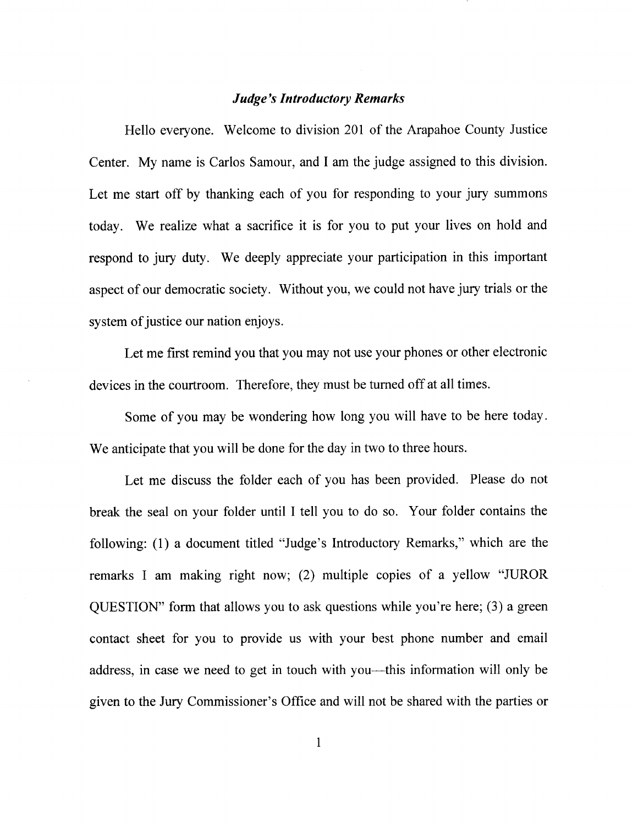### **Judge's Introductory Remarks**

Hello everyone. Welcome to division 201 of the Arapahoe County Justice Center. My name is Carlos Samour, and I am the judge assigned to this division. Let me start off by thanking each of you for responding to your jury summons today. We realize what a sacrifice it is for you to put your lives on hold and respond to jury duty. We deeply appreciate your participation in this important aspect of our democratic society. Without you, we could not have jury trials or the system of justice our nation enjoys.

Let me first remind you that you may not use your phones or other electronic devices in the courtroom. Therefore, they must be tumed off at all times.

Some of you may be wondering how long you will have to be here today. We anticipate that you will be done for the day in two to three hours.

Let me discuss the folder each of you has been provided. Please do not break the seal on your folder until I tell you to do so. Your folder contains the following: (l) a document titled "Judge's Introductory Remarks," which are the remarks I am making right now; (2) multiple copies of a yellow "JUROR QUESTION" form that allows you to ask questions while you're here; (3) a green contact sheet for you to provide us with your best phone number and email address, in case we need to get in touch with you—this information will only be given to the Jury Commissioner's Office and will not be shared with the parties or

 $\mathbf{1}$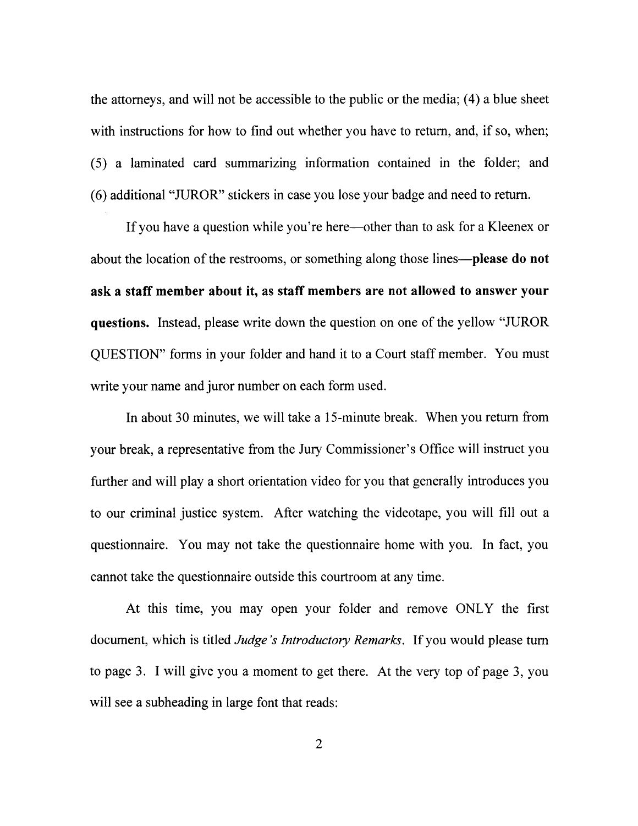the attomeys, and will not be accessible to the public or the media; (4) a blue sheet with instructions for how to find out whether you have to return, and, if so, when; (5) a laminated card summarizing information contained in the folder; and (6) additional "JUROR" stickers in case you lose your badge and need to return.

If you have a question while you're here—other than to ask for a Kleenex or about the location of the restrooms, or something along those lines—**please do not** ask a staff member about it, as staff members are not allowed to answer your questions. Instead, please write down the question on one of the yellow "JUROR QUESTION" forms in your folder and hand it to a Court staff member. You must write your name and juror number on each form used.

In about 30 minutes, we will take a l5-minute break. When you return from your break, a representative from the Jury Commissioner's Office will instruct you further and will play a short orientation video for you that generally introduces you to our criminal justice system. After watching the videotape, you will fill out <sup>a</sup> questionnaire. You may not take the questionnaire home with you. In fact, you cannot take the questionnaire outside this courtroom at any time.

At this time, you may open your folder and remove ONLY the first document, which is titled *Judge's Introductory Remarks*. If you would please turn to page 3. I will give you a moment to get there. At the very top of page 3, you will see a subheading in large font that reads: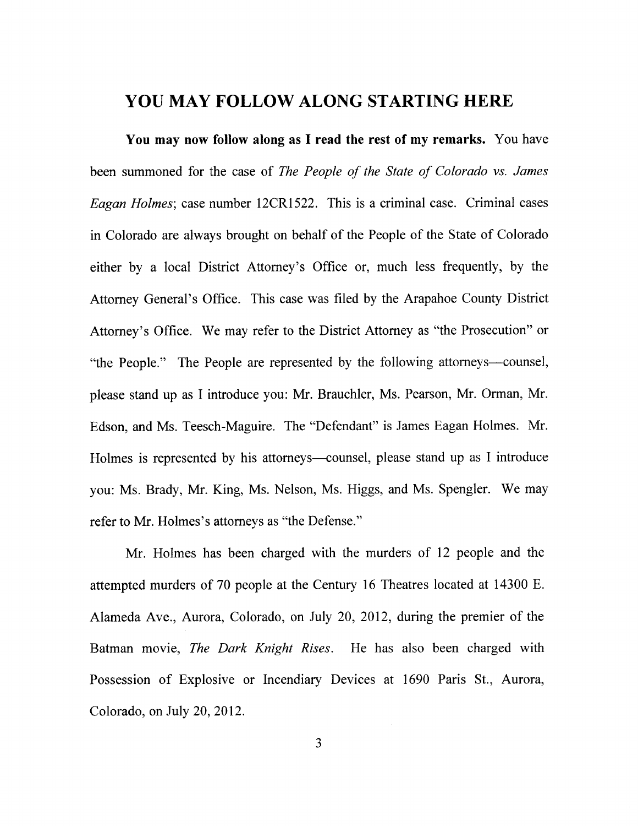### YOU MAY FOLLOW ALONG STARTING HERE

You may now follow along as I read the rest of my remarks. You have been summoned for the case of The People of the State of Colorado vs. James Eagan Holmes; case number l2CRl522. This is a criminal case. Criminal cases in Colorado are always brought on behalf of the People of the State of Colorado either by a local District Attomey's Office or, much less frequently, by the Attomey General's Office. This case was filed by the Arapahoe County District Attorney's Office. We may refer to the District Attorney as "the Prosecution" or "the People." The People are represented by the following attorneys-counsel, please stand up as I introduce you: Mr. Brauchler, Ms. Pearson, Mr. Orman, Mr. Edson, and Ms. Teesch-Maguire. The "Defendant" is James Eagan Holmes. Mr. Holmes is represented by his attorneys—counsel, please stand up as I introduce you: Ms. Brady, Mr. King, Ms. Nelson, Ms. Higgs, and Ms. Spengler. We may refer to Mr. Holmes's attorneys as "the Defense."

Mr. Holmes has been charged with the murders of 12 people and the attempted murders of 70 people at the Century 16 Theatres located at 14300 E. Alameda Ave., Aurora, Colorado, on July 20, 2012, during the premier of the Batman movie, The Dark Knight Rises. He has also been charged with Possession of Explosive or Incendiary Devices at 1690 Paris St., Aurora, Colorado, on July 20,2012.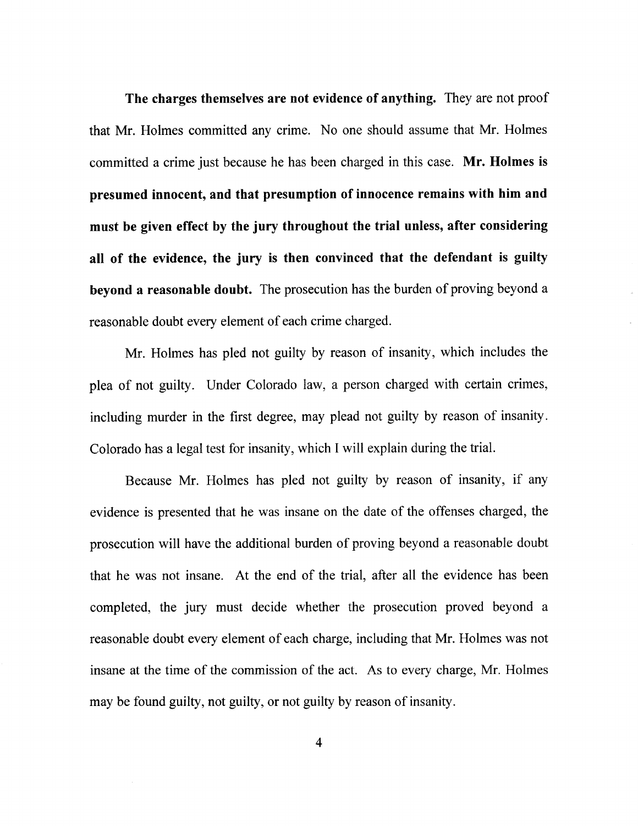The charges themselves are not evidence of anything. They are not proof that Mr. Holmes committed any crime. No one should assume that Mr. Holmes committed a crime just because he has been charged in this case. Mr. Holmes is presumed innocent, and that presumption of innocence remains with him and must be given effect by the jury throughout the trial unless, after considering all of the evidence, the jury is then convinced that the defendant is guilty beyond a reasonable doubt. The prosecution has the burden of proving beyond a reasonable doubt every element of each crime charged.

Mr. Holmes has pled not guilty by reason of insanity, which includes the plea of not guilty. Under Colorado law, a person charged with certain crimes, including murder in the first degree, may plead not guilty by reason of insanity. Colorado has a legal test for insanity, which I will explain during the trial.

Because Mr. Holmes has pled not guilty by reason of insanity, if any evidence is presented that he was insane on the date of the offenses charged, the prosecution will have the additional burden of proving beyond a reasonable doubt that he was not insane. At the end of the trial, after all the evidence has been completed, the jury must decide whether the prosecution proved beyond <sup>a</sup> reasonable doubt every element of each charge, including that Mr. Holmes was not insane at the time of the commission of the act. As to every charge, Mr. Holmes may be found guilty, not guilty, or not guilty by reason of insanity.

 $\overline{4}$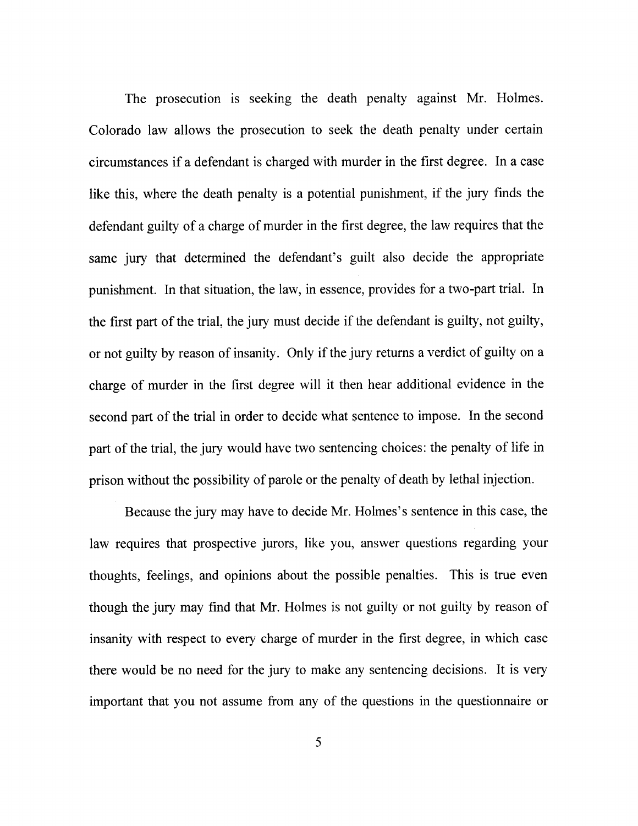The prosecution is seeking the death penalty against Mr. Holmes. Colorado law allows the prosecution to seek the death penalty under certain circumstances if a defendant is charged with murder in the first degree. In a case like this, where the death penalty is a potential punishment, if the jury finds the defendant guilty of a charge of murder in the first degree, the law requires that the same jury that determined the defendant's guilt also decide the appropriate punishment. In that situation, the law, in essence, provides for a two-part trial. In the first part of the trial, the jury must decide if the defendant is guilty, not guilty, or not guilty by reason of insanity. Only if the jury returns a verdict of guilty on <sup>a</sup> charge of murder in the first degree will it then hear additional evidence in the second part of the trial in order to decide what sentence to impose. In the second part of the trial, the jury would have two sentencing choices: the penalty of life in prison without the possibility of parole or the penalty of death by lethal injection.

Because the jury may have to decide Mr. Holmes's sentence in this case, the law requires that prospective jurors, like you, answer questions regarding your thoughts, feelings, and opinions about the possible penalties. This is true even though the jury may find that Mr. Holmes is not guilty or not guilty by reason of insanity with respect to every charge of murder in the first degree, in which case there would be no need for the jury to make any sentencing decisions. It is very important that you not assume from any of the questions in the questionnaire or

5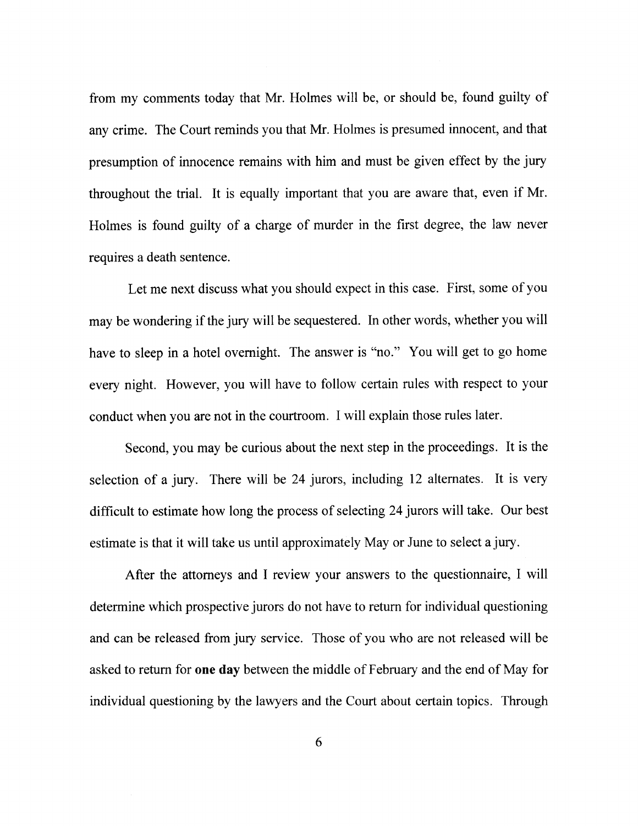from my comments today that Mr. Holmes will be, or should be, found guilty of any crime. The Court reminds you that Mr. Holmes is presumed innocent, and that presumption of innocence remains with him and must be given effect by the jury throughout the trial. It is equally important that you are aware that, even if Mr. Holmes is found guilty of a charge of murder in the first degree, the law never requires a death sentence.

Let me next discuss what you should expect in this case. First, some of you may be wondering if the jury will be sequestered. In other words, whether you will have to sleep in a hotel overnight. The answer is "no." You will get to go home every night. However, you will have to follow certain rules with respect to your conduct when you are not in the courtroom. I will explain those rules later.

Second, you may be curious about the next step in the proceedings. It is the selection of a jury. There will be 24 jurors, including 12 altemates. It is very difficult to estimate how long the process of selecting24 jurors will take. Our best estimate is that it will take us until approximately May or June to select a jury.

After the attomeys and I review your answers to the questionnaire, I will determine which prospective jurors do not have to return for individual questioning and can be released from jury service. Those of you who are not released will be asked to return for one day between the middle of February and the end of May for individual questioning by the lawyers and the Court about certain topics. Through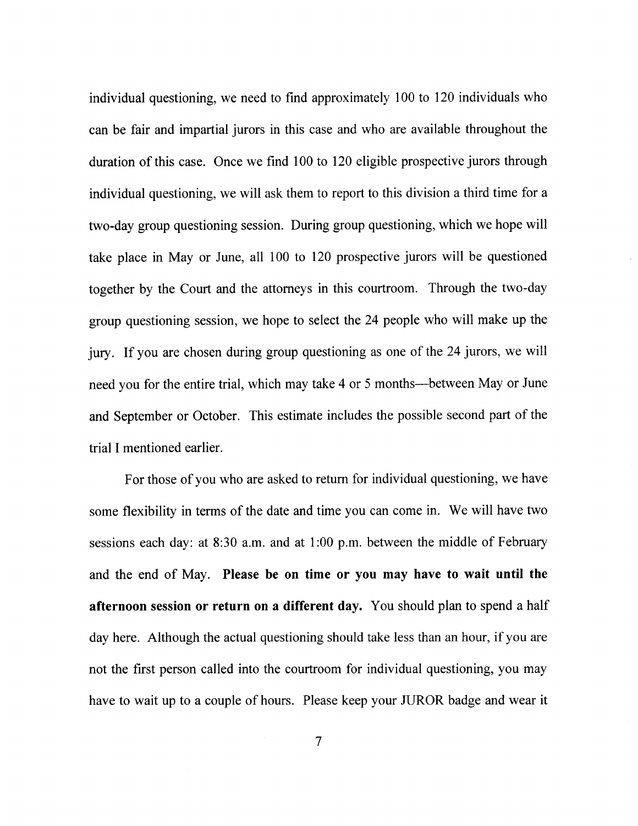individual questioning, we need to find approximately 100 to 120 individuals who can be fair and impartial jurors in this case and who are available throughout the duration of this case. Once we find 100 to 120 eligible prospective jurors through individual questioning, we will ask them to report to this division a third time for a two-day group questioning session. During group questioning, which we hope will take place in May or June, all 100 to 120 prospective jurors will be questioned together by the Court and the attorneys in this courtroom. Through the two-day group questioning session, we hope to select the 24 people who will make up the jury. If you are chosen during group questioning as one of the 24 jurors, we will need you for the entire trial, which may take 4 or 5 months—between May or June and September or October. This estimate includes the possible second part of the trial I mentioned earlier.

For those of you who are asked to retum for individual questioning, we have some flexibility in terms of the date and time you can come in. We will have two sessions each day: at 8:30 a.m. and at 1:00 p.m. between the middle of February and the end of May. Please be on time or you may have to wait until the afternoon session or return on a different day. You should plan to spend a half day here. Although the actual questioning should take less than an hour, if you are not the first person called into the courtroom for individual questioning, you may have to wait up to a couple of hours. Please keep your JUROR badge and wear it

 $\overline{7}$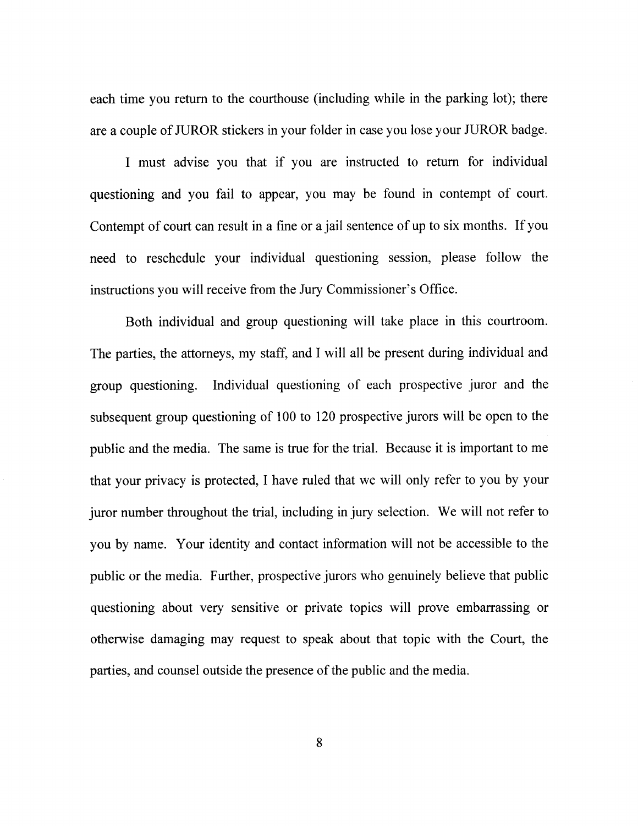each time you return to the courthouse (including while in the parking lot); there are a couple of JUROR stickers in your folder in case you lose your JUROR badge.

I must advise you that if you are instructed to return for individual questioning and you fail to appear, you may be found in contempt of court. Contempt of court can result in a fine or a jail sentence of up to six months. If you need to reschedule your individual questioning session, please follow the instructions you will receive from the Jury Commissioner's Office.

Both individual and group questioning will take place in this courtroom. The parties, the attorneys, my staff, and I will all be present during individual and group questioning. Individual questioning of each prospective juror and the subsequent group questioning of 100 to 120 prospective jurors will be open to the public and the media. The same is true for the trial. Because it is important to me that your privacy is protected, I have ruled that we will only refer to you by your juror number throughout the trial, including in jury selection. We will not refer to you by name. Your identity and contact information will not be accessible to the public or the media. Further, prospective jurors who genuinely believe that public questioning about very sensitive or private topics will prove embarrassing or otherwise damaging may request to speak about that topic with the Court, the parties, and counsel outside the presence of the public and the media.

8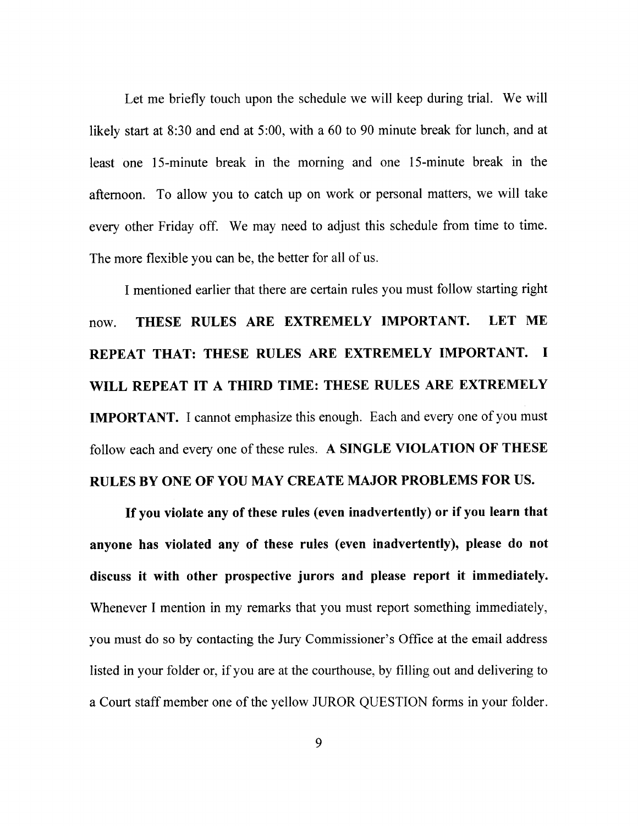Let me briefly touch upon the schedule we will keep during trial. We will likely start at 8:30 and end at 5:00, with a 60 to 90 minute break for lunch, and at least one l5-minute break in the morning and one l5-minute break in the afternoon. To allow you to catch up on work or personal matters, we will take every other Friday off. We may need to adjust this schedule from time to time. The more flexible you can be, the better for all of us.

I mentioned earlier that there are certain rules you must follow starting right now. THESE RULES ARE EXTREMELY IMPORTANT. LET ME REPEAT THAT: THESE RULES ARE EXTREMELY IMPORTANT. I WILL REPEAT IT A THIRD TIME: THESE RULES ARE EXTREMELY IMPORTANT. I cannot emphasize this enough. Each and every one of you must follow each and every one of these rules. A SINGLE VIOLATION OF THESE

### RULES BY ONE OF YOU MAY CREATE MAJOR PROBLEMS FOR US.

If you violate any of these rules (even inadvertently) or if you learn that anyone has violated any of these rules (even inadvertently), please do not discuss it with other prospective jurors and please report it immediately. Whenever I mention in my remarks that you must report something immediately, you must do so by contacting the Jury Commissioner's Office at the email address listed in your folder or, if you are at the courthouse, by filling out and delivering to a Court staff member one of the yellow JUROR QUESTION forms in your folder.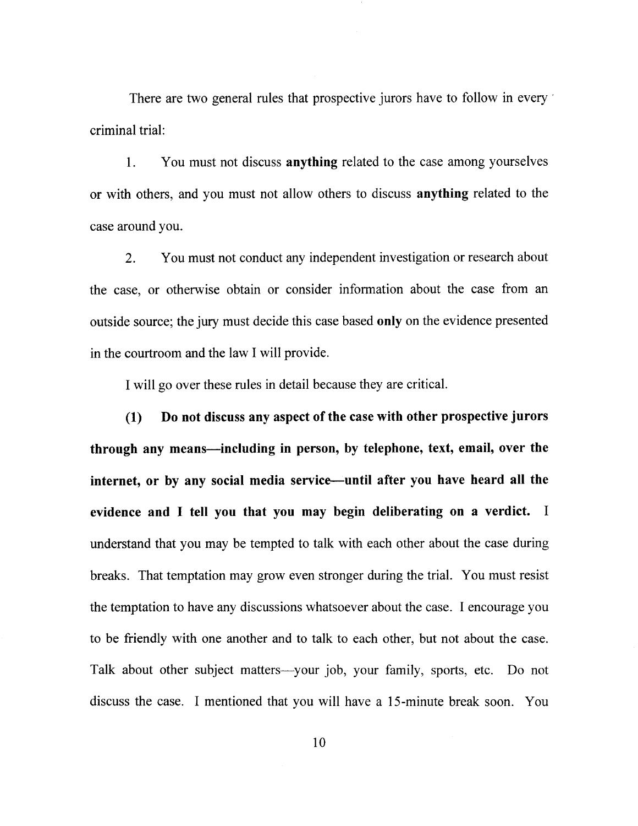There are two general rules that prospective jurors have to follow in every criminal trial:

l. You must not discuss anything related to the case among yourselves or with others, and you must not allow others to discuss anything related to the case around you.

2. You must not conduct any independent investigation or research about the case, or otherwise obtain or consider information about the case from an outside source; the jury must decide this case based only on the evidence presented in the courtroom and the law I will provide.

I will go over these rules in detail because they are critical.

(1) Do not discuss any aspect of the case with other prospective jurors through any means—including in person, by telephone, text, email, over the internet, or by any social media service-until after you have heard all the evidence and I tell you that you may begin deliberating on a verdict. I understand that you may be tempted to talk with each other about the case during breaks. That temptation may grow even stronger during the trial. You must resist the temptation to have any discussions whatsoever about the case. I encourage you to be friendly with one another and to talk to each other, but not about the case. Talk about other subject matters—your job, your family, sports, etc. Do not discuss the case. I mentioned that you will have a l5-minute break soon. You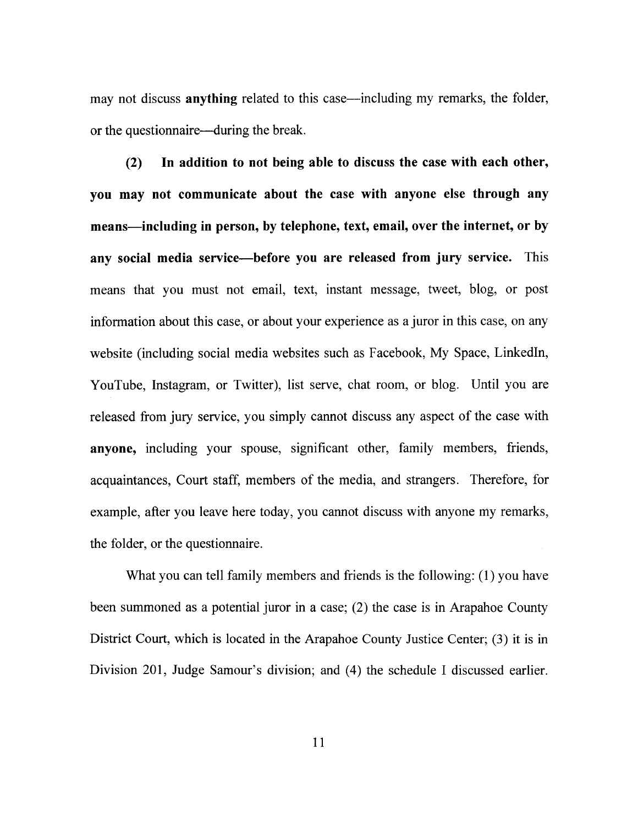may not discuss **anything** related to this case—including my remarks, the folder, or the questionnaire—during the break.

(2) In addition to not being able to discuss the case with each other, you may not communicate about the case with anyone else through any means—including in person, by telephone, text, email, over the internet, or by any social media service—before you are released from jury service. This means that you must not email, text, instant message, tweet, blog, or post information about this case, or about your experience as a juror in this case, on any website (including social media websites such as Facebook, My Space, Linkedln, YouTube, Instagram, or Twitter), list serve, chat room, or blog. Until you are released from jury service, you simply cannot discuss any aspect of the case with anyone, including your spouse, significant other, family members, friends, acquaintances, Court staff, members of the media, and strangers. Therefore, for example, after you leave here today, you cannot discuss with anyone my remarks, the folder, or the questionnaire.

What you can tell family members and friends is the following: (1) you have been summoned as a potential juror in a case; (2) the case is in Arapahoe County District Court, which is located in the Arapahoe County Justice Center; (3) it is in Division 201, Judge Samour's division; and (4) the schedule I discussed earlier.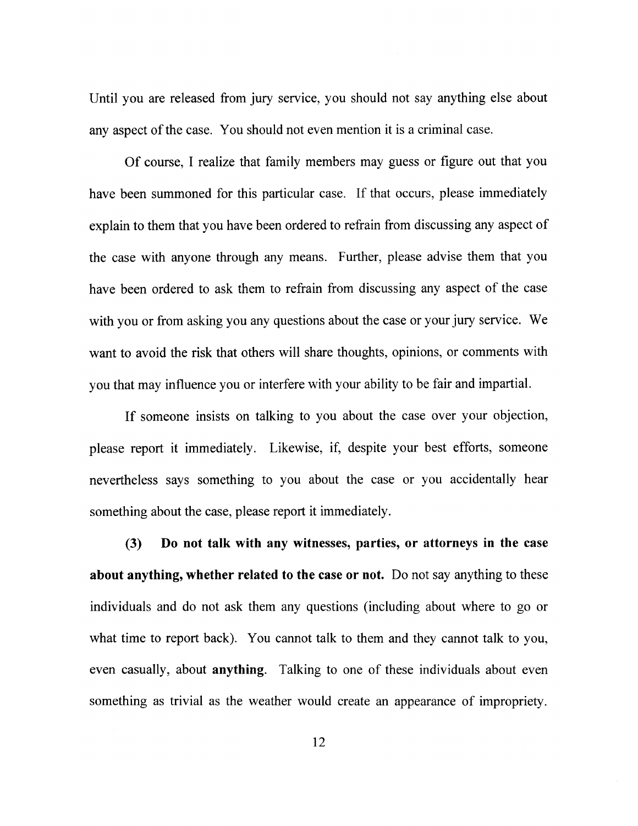Until you are released from jury service, you should not say anything else about any aspect of the case. You should not even mention it is a criminal case.

Of course,I realize that family members may guess or figure out that you have been summoned for this particular case. If that occurs, please immediately explain to them that you have been ordered to refrain from discussing any aspect of the case with anyone through any means. Further, please advise them that you have been ordered to ask them to refrain from discussing any aspect of the case with you or from asking you any questions about the case or your jury service. We want to avoid the risk that others will share thoughts, opinions, or comments with you that may influence you or interfere with your ability to be fair and impartial.

If someone insists on talking to you about the case over your objection, please report it immediately. Likewise, if, despite your best efforts, someone nevertheless says something to you about the case or you accidentally hear something about the case, please report it immediately.

(3) Do not talk with any witnesses, parties, or attorneys in the case about anything, whether related to the case or not. Do not say anything to these individuals and do not ask them any questions (including about where to go or what time to report back). You cannot talk to them and they cannot talk to you, even casually, about anything. Talking to one of these individuals about even something as trivial as the weather would create an appearance of impropriety.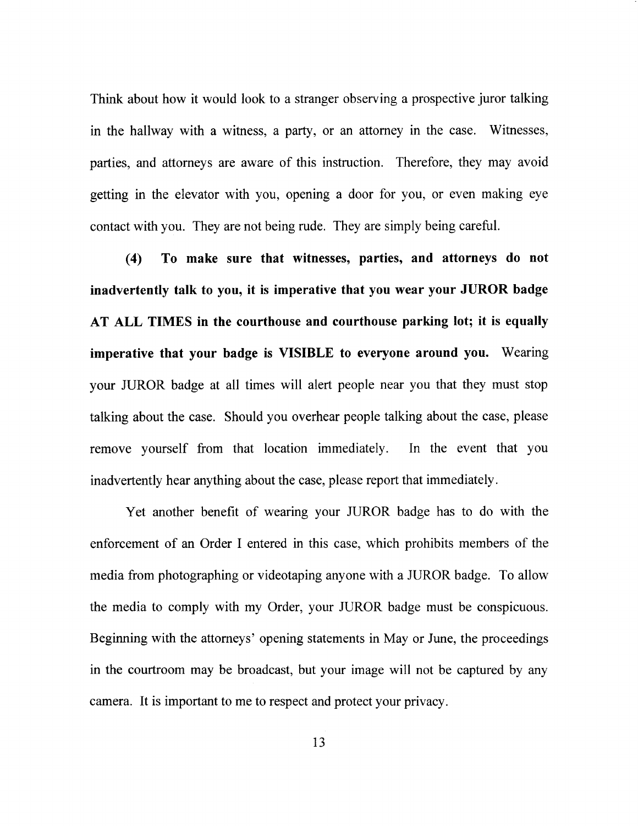Think about how it would look to a stranger observing a prospective juror talking in the hallway with a witness, a party, or an attorney in the case. Witnesses, parties, and attorneys are aware of this instruction. Therefore, they may avoid getting in the elevator with you, opening a door for you, or even making eye contact with you. They are not being rude. They are simply being careful.

(4) To make sure that witnesses, parties, and attorneys do not inadvertently talk to you, it is imperative that you wear your JUROR badge AT ALL TIMES in the courthouse and courthouse parking lot; it is equally imperative that your badge is VISIBLE to everyone around you. Wearing your JUROR badge at all times will alert people near you that they must stop talking about the case. Should you overhear people talking about the case, please remove yourself from that location immediately. In the event that you inadvertently hear anything about the case, please report that immediately.

Yet another benefit of wearing your JUROR badge has to do with the enforcement of an Order I entered in this case, which prohibits members of the media from photographing or videotaping anyone with a JUROR badge. To allow the media to comply with my Order, your JUROR badge must be conspicuous. Beginning with the attorneys' opening statements in May or June, the proceedings in the courtroom may be broadcast, but your image will not be captured by any camera. It is important to me to respect and protect your privacy.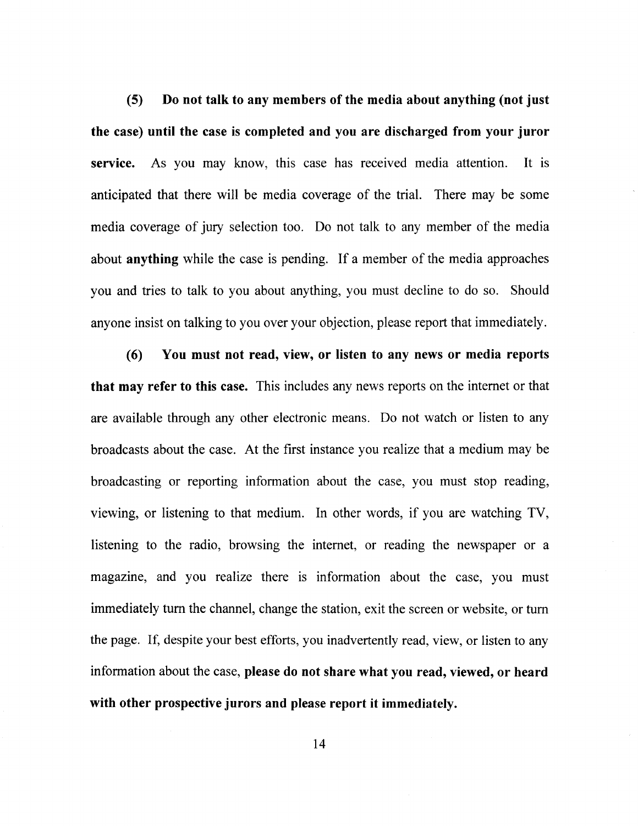(5) Do not talk to any members of the media about anything (not just the case) until the case is completed and you are discharged from your juror service. As you may know, this case has received media attention. It is anticipated that there will be media coverage of the trial. There may be some media coverage of jury selection too. Do not talk to any member of the media about anything while the case is pending. If a member of the media approaches you and tries to talk to you about anything, you must decline to do so. Should anyone insist on talking to you over your objection, please report that immediately.

(6) You must not read, view, or listen to any news or media reports that may refer to this case. This includes any news reports on the internet or that are available through any other electronic means. Do not watch or listen to any broadcasts about the case. At the first instance you rcalize that a medium may be broadcasting or reporting information about the case, you must stop reading, viewing, or listening to that medium. In other words, if you are watching TV, listening to the radio, browsing the internet, or reading the newspaper or <sup>a</sup> magazine, and you realize there is information about the case, you must immediately turn the channel, change the station, exit the screen or website, or turn the page. If, despite your best efforts, you inadvertently read, view, or listen to any information about the case, please do not share what you read, viewed, or heard with other prospective jurors and please report it immediately.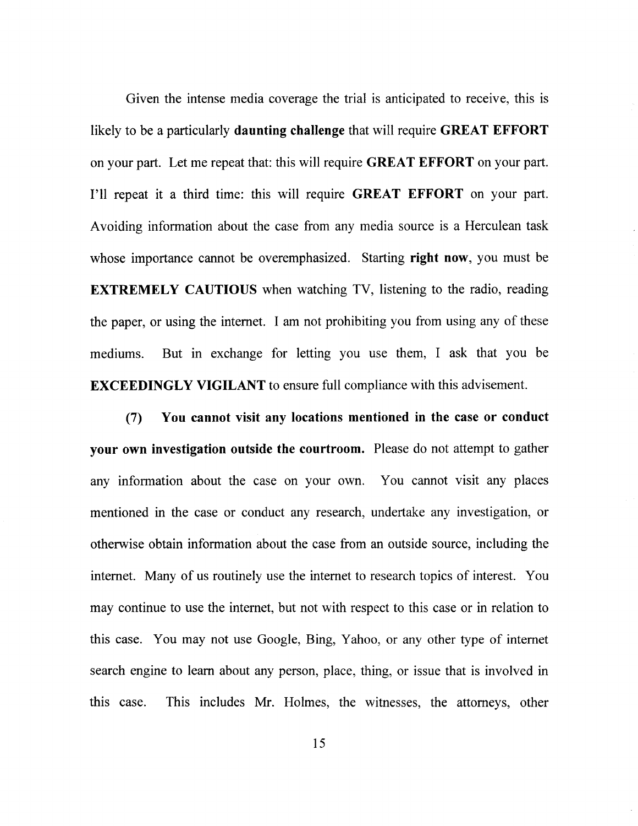Given the intense media coverage the trial is anticipated to receive, this is likely to be a particularly daunting challenge that will require GREAT EFFORT on your part. Let me repeat that: this will require GREAT EFFORT on your part. I'11 repeat it a third time: this will require GREAT EFFORT on your part. Avoiding information about the case from any media source is a Herculean task whose importance cannot be overemphasized. Starting right now, you must be EXTREMELY CAUTIOUS when watching TV, listening to the radio, reading the paper, or using the intemet. I am not prohibiting you from using any of these mediums. But in exchange for letting you use them, I ask that you be EXCEEDINGLY VIGILANT to ensure full compliance with this advisement.

(7) You cannot visit any locations mentioned in the case or conduct your own investigation outside the courtroom. Please do not attempt to gather any information about the case on your own. You cannot visit any places mentioned in the case or conduct any research, undertake any investigation, or otherwise obtain information about the case from an outside source, including the intemet. Many of us routinely use the internet to research topics of interest. You may continue to use the internet, but not with respect to this case or in relation to this case. You may not use Google, Bing, Yahoo, or any other type of internet search engine to learn about any person, place, thing, or issue that is involved in this case. This includes Mr. Holmes, the witnesses, the attomeys, other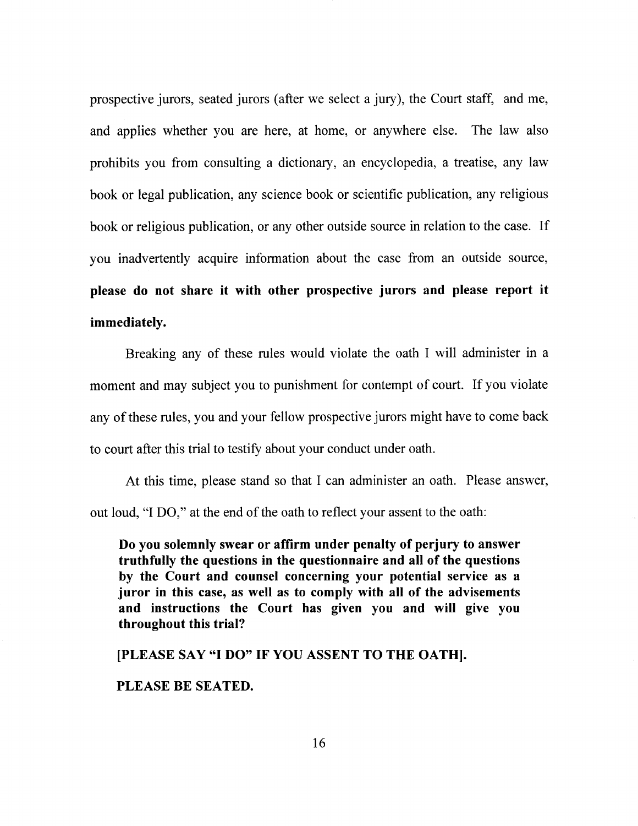prospective jurors, seated jurors (after we select a jury), the Court staff; and me, and applies whether you are here, at home, or anywhere else. The law also prohibits you from consulting a dictionary, an encyclopedia, a treatise, any law book or legal publication, any science book or scientific publication, any religious book or religious publication, or any other outside source in relation to the case. If you inadvertently acquire information about the case from an outside source, please do not share it with other prospective jurors and please report it immediately.

Breaking any of these rules would violate the oath I will administer in <sup>a</sup> moment and may subject you to punishment for contempt of court. If you violate any of these rules, you and your fellow prospective jurors might have to come back to court after this trial to testify about your conduct under oath.

At this time, please stand so that I can administer an oath. Please answer, out loud, "I DO," at the end of the oath to reflect your assent to the oath:

Do you solemnly swear or affirm under penalty of perjury to answer truthfully the questions in the questionnaire and all of the questions by the Court and counsel concerning your potential service as <sup>a</sup> juror in this case, as well as to comply with all of the advisements and instructions the Court has given you and will give you throughout this trial?

IPLEASE SAY "I DO" IF YOU ASSENT TO THE OATHI.

#### PLEASE BE SEATED.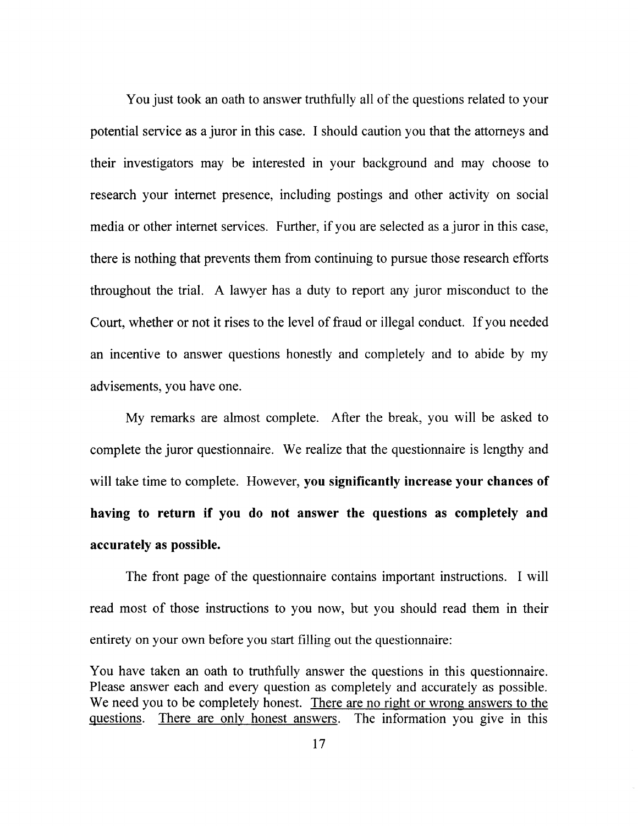You just took an oath to answer truthfully all of the questions related to your potential service as a juror in this case. I should caution you that the attorneys and their investigators may be interested in your background and may choose to research your internet presence, including postings and other activity on social media or other internet services. Further, if you are selected as a juror in this case, there is nothing that prevents them from continuing to pursue those research efforts throughout the trial. A lawyer has a duty to report any juror misconduct to the Court, whether or not it rises to the level of fraud or illegal conduct. If you needed an incentive to answer questions honestly and completely and to abide by my advisements, you have one.

My remarks are almost complete. After the break, you will be asked to complete the juror questionnaire. We realize that the questionnaire is lengthy and will take time to complete. However, you significantly increase your chances of having to return if you do not answer the questions as completely and accurately as possible.

The front page of the questionnaire contains important instructions. I will read most of those instructions to you now, but you should read them in their entirety on your own before you start filling out the questionnaire:

You have taken an oath to truthfully answer the questions in this questionnaire. Please answer each and every question as completely and accurately as possible. We need you to be completely honest. There are no right or wrong answers to the questions. There are only honest answers. The information you give in this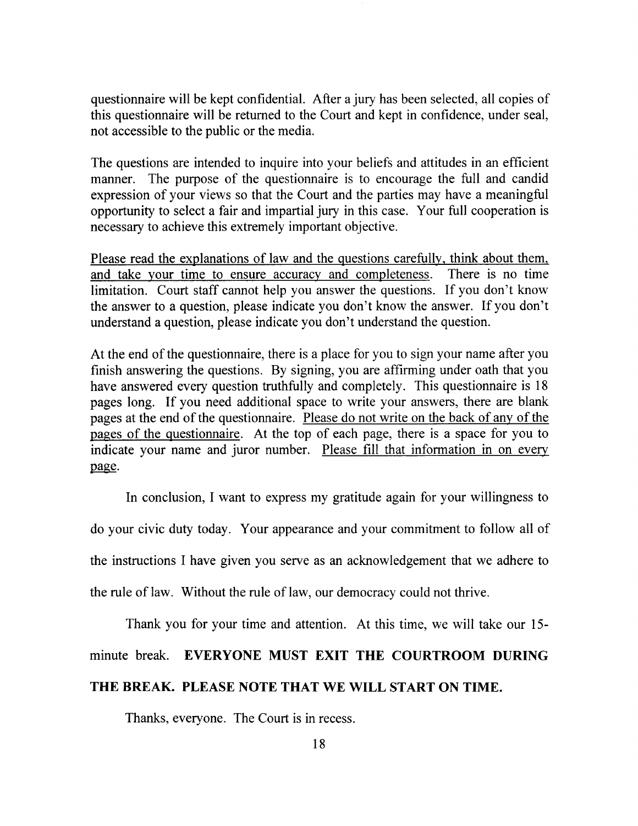questionnaire will be kept confidential. After a jury has been selected, all copies of this questionnaire will be returned to the Court and kept in confidence, under seal, not accessible to the public or the media.

The questions are intended to inquire into your beliefs and attitudes in an efficient manner. The purpose of the questionnaire is to encourage the full and candid expression of your views so that the Court and the parties may have a meaningful opportunity to select a fair and impartial jury in this case. Your full cooperation is necessary to achieve this extremely important objective.

Please read the explanations of law and the questions carefully. think about them. and take your time to ensure accuracy and completeness. There is no time limitation. Court staff cannot help you answer the questions. If you don't know the answer to a question, please indicate you don't know the answer. If you don't understand a question, please indicate you don't understand the question.

At the end of the questionnaire, there is a place for you to sign your name after you finish answering the questions. By signing, you are affirming under oath that you have answered every question truthfully and completely. This questionnaire is 18 pages long. If you need additional space to write your answers, there are blank pages at the end of the questionnaire. Please do not write on the back of any of the pages of the questionnaire. At the top of each page, there is a space for you to indicate your name and juror number. Please fill that information in on every page.

In conclusion, I want to express my gratitude again for your willingness to do your civic duty today. Your appearance and your commitment to follow all of the instructions I have given you serve as an acknowledgement that we adhere to the rule of law. Without the rule of law, our democracy could not thrive.

Thank you for your time and attention. At this time, we will take our 15 minute break. EVERYONE MUST EXIT THE COURTROOM DURING THE BREAK. PLEASE NOTE THAT WE WILL START ON TIME.

Thanks, everyone. The Court is in recess.